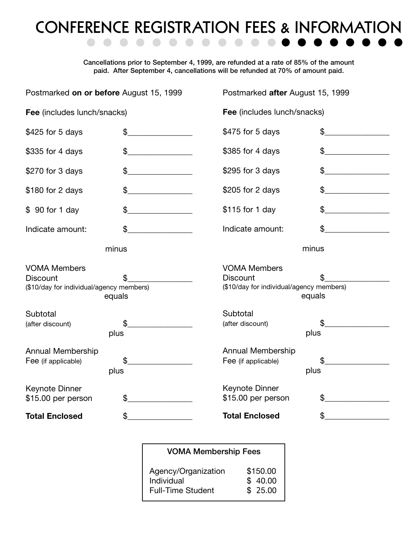## **CONFERENCE REGISTRATION FEES & INFORMATION**

**Cancellations prior to September 4, 1999, are refunded at a rate of 85% of the amount paid. After September 4, cancellations will be refunded at 70% of amount paid.**

| Postmarked on or before August 15, 1999                                                      |                                               |                                             | Postmarked after August 15, 1999                   |  |  |
|----------------------------------------------------------------------------------------------|-----------------------------------------------|---------------------------------------------|----------------------------------------------------|--|--|
| Fee (includes lunch/snacks)                                                                  |                                               |                                             | Fee (includes lunch/snacks)                        |  |  |
| \$425 for 5 days                                                                             | \$                                            | \$475 for 5 days                            | $\mathfrak{L}$                                     |  |  |
| \$335 for 4 days                                                                             | \$<br><u> 1990 - Johann Barbara, martxa a</u> | \$385 for 4 days                            | \$                                                 |  |  |
| \$270 for 3 days                                                                             | \$                                            | \$295 for 3 days                            | \$                                                 |  |  |
| \$180 for 2 days                                                                             | \$                                            | \$205 for 2 days                            | \$                                                 |  |  |
| \$ 90 for 1 day                                                                              | \$                                            | \$115 for 1 day                             | \$                                                 |  |  |
| Indicate amount:                                                                             | \$                                            | Indicate amount:                            | \$                                                 |  |  |
|                                                                                              | minus                                         |                                             | minus                                              |  |  |
| <b>VOMA Members</b><br><b>Discount</b><br>(\$10/day for individual/agency members)<br>equals |                                               | <b>VOMA Members</b><br><b>Discount</b>      | (\$10/day for individual/agency members)<br>equals |  |  |
| Subtotal<br>(after discount)                                                                 | \$<br>plus                                    | Subtotal<br>(after discount)                | \$<br>plus                                         |  |  |
| Annual Membership<br>Fee (if applicable)                                                     | \$<br>plus                                    | Annual Membership<br>Fee (if applicable)    | \$<br>plus                                         |  |  |
| Keynote Dinner<br>\$15.00 per person                                                         | \$                                            | <b>Keynote Dinner</b><br>\$15.00 per person | \$                                                 |  |  |
| <b>Total Enclosed</b>                                                                        | \$                                            | <b>Total Enclosed</b>                       | \$                                                 |  |  |

**VOMA Membership Fees**

| Agency/Organization      | \$150.00 |
|--------------------------|----------|
| Individual               | \$40.00  |
| <b>Full-Time Student</b> | \$25.00  |